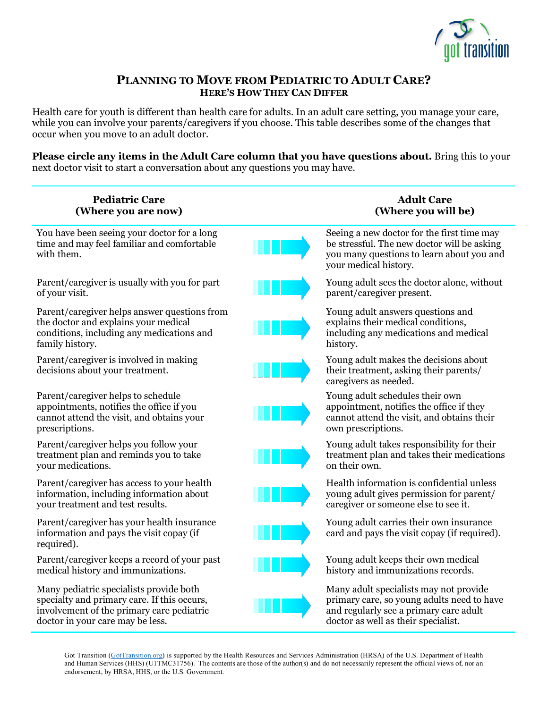

## **PLANNING TO MOVE FROM PEDIATRIC TO ADULT CARE? HERE'S HOW THEY CAN DIFFER**

Health care for youth is different than health care for adults. In an adult care setting, you manage your care, while you can involve your parents/caregivers if you choose. This table describes some of the changes that occur when you move to an adult doctor.

**Please circle any items in the Adult Care column that you have questions about.** Bring this to your next doctor visit to start a conversation about any questions you may have.

| <b>Pediatric Care</b><br>(Where you are now)                                                                                                                            | <b>Adult Care</b><br>(Where you will be)                                                                                                                              |
|-------------------------------------------------------------------------------------------------------------------------------------------------------------------------|-----------------------------------------------------------------------------------------------------------------------------------------------------------------------|
| You have been seeing your doctor for a long<br>time and may feel familiar and comfortable<br>with them.                                                                 | Seeing a new doctor for the first time may<br>be stressful. The new doctor will be asking<br>you many questions to learn about you and<br>your medical history.       |
| Parent/caregiver is usually with you for part<br>of your visit.                                                                                                         | Young adult sees the doctor alone, without<br>parent/caregiver present.                                                                                               |
| Parent/caregiver helps answer questions from<br>the doctor and explains your medical<br>conditions, including any medications and<br>family history.                    | Young adult answers questions and<br>explains their medical conditions,<br>including any medications and medical<br>history.                                          |
| Parent/caregiver is involved in making<br>decisions about your treatment.                                                                                               | Young adult makes the decisions about<br>their treatment, asking their parents/<br>caregivers as needed.                                                              |
| Parent/caregiver helps to schedule<br>appointments, notifies the office if you<br>cannot attend the visit, and obtains your<br>prescriptions.                           | Young adult schedules their own<br>appointment, notifies the office if they<br>cannot attend the visit, and obtains their<br>own prescriptions.                       |
| Parent/caregiver helps you follow your<br>treatment plan and reminds you to take<br>your medications.                                                                   | Young adult takes responsibility for their<br>treatment plan and takes their medications<br>on their own.                                                             |
| Parent/caregiver has access to your health<br>information, including information about<br>your treatment and test results.                                              | Health information is confidential unless<br>young adult gives permission for parent/<br>caregiver or someone else to see it.                                         |
| Parent/caregiver has your health insurance<br>information and pays the visit copay (if<br>required).                                                                    | Young adult carries their own insurance<br>card and pays the visit copay (if required).                                                                               |
| Parent/caregiver keeps a record of your past<br>medical history and immunizations.                                                                                      | Young adult keeps their own medical<br>history and immunizations records.                                                                                             |
| Many pediatric specialists provide both<br>specialty and primary care. If this occurs,<br>involvement of the primary care pediatric<br>doctor in your care may be less. | Many adult specialists may not provide<br>primary care, so young adults need to have<br>and regularly see a primary care adult<br>doctor as well as their specialist. |

Got Transition (GotTransition.org) is supported by the Health Resources and Services Administration (HRSA) of the U.S. Department of Health and Human Services (HHS) (U1TMC31756). The contents are those of the author(s) and do not necessarily represent the official views of, nor an endorsement, by HRSA, HHS, or the U.S. Government.